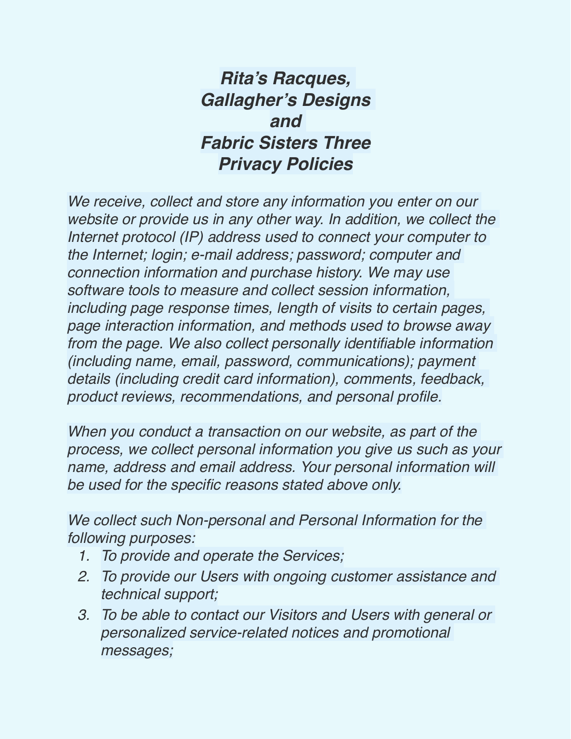## *Rita's Racques, Gallagher's Designs and Fabric Sisters Three Privacy Policies*

*We receive, collect and store any information you enter on our website or provide us in any other way. In addition, we collect the Internet protocol (IP) address used to connect your computer to the Internet; login; e-mail address; password; computer and connection information and purchase history. We may use software tools to measure and collect session information, including page response times, length of visits to certain pages, page interaction information, and methods used to browse away from the page. We also collect personally identifiable information (including name, email, password, communications); payment details (including credit card information), comments, feedback, product reviews, recommendations, and personal profile.*

*When you conduct a transaction on our website, as part of the process, we collect personal information you give us such as your name, address and email address. Your personal information will be used for the specific reasons stated above only.*

*We collect such Non-personal and Personal Information for the following purposes:*

- *1. To provide and operate the Services;*
- *2. To provide our Users with ongoing customer assistance and technical support;*
- *3. To be able to contact our Visitors and Users with general or personalized service-related notices and promotional messages;*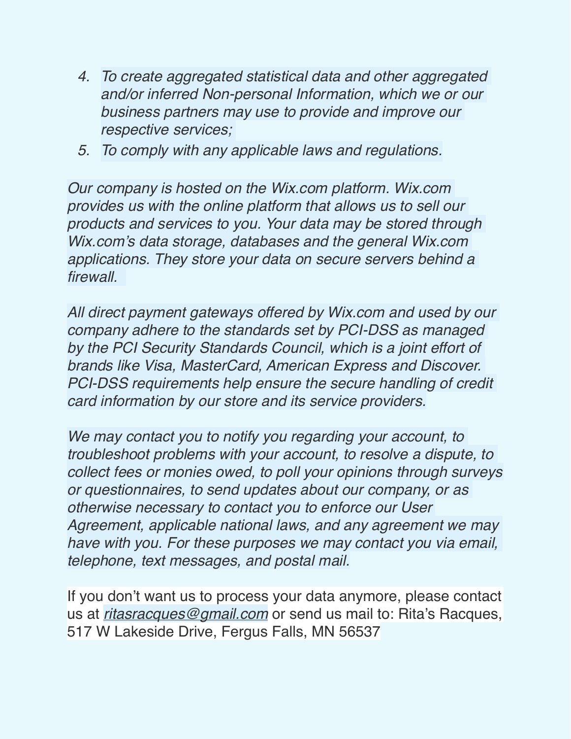- *4. To create aggregated statistical data and other aggregated and/or inferred Non-personal Information, which we or our business partners may use to provide and improve our respective services;*
- *5. To comply with any applicable laws and regulations.*

*Our company is hosted on the Wix.com platform. Wix.com provides us with the online platform that allows us to sell our products and services to you. Your data may be stored through Wix.com's data storage, databases and the general Wix.com applications. They store your data on secure servers behind a firewall.*

*All direct payment gateways offered by Wix.com and used by our company adhere to the standards set by PCI-DSS as managed by the PCI Security Standards Council, which is a joint effort of brands like Visa, MasterCard, American Express and Discover. PCI-DSS requirements help ensure the secure handling of credit card information by our store and its service providers.*

*We may contact you to notify you regarding your account, to troubleshoot problems with your account, to resolve a dispute, to collect fees or monies owed, to poll your opinions through surveys or questionnaires, to send updates about our company, or as otherwise necessary to contact you to enforce our User Agreement, applicable national laws, and any agreement we may have with you. For these purposes we may contact you via email, telephone, text messages, and postal mail.*

If you don't want us to process your data anymore, please contact us at *[ritasracques@gmail.com](mailto:ritasracques@gmail.com)* or send us mail to: Rita's Racques, 517 W Lakeside Drive, Fergus Falls, MN 56537